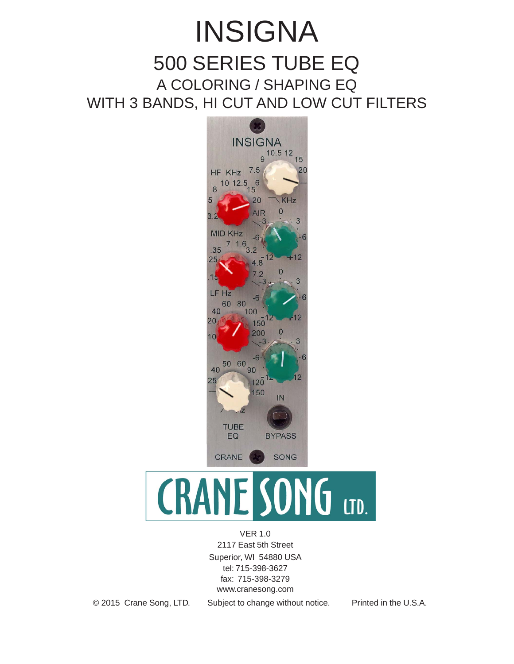# INSIGNA 500 SERIES TUBE EQ A COLORING / SHAPING EQ WITH 3 BANDS, HI CUT AND LOW CUT FILTERS



# **CRA**  $\mathsf{JNG}\,$  (TD.  $\,$ LTD.

VER 1.0 2117 East 5th Street Superior, WI 54880 USA tel: 715-398-3627 fax: 715-398-3279 www.cranesong.com

© 2015 Crane Song, LTD. Subject to change without notice. Printed in the U.S.A.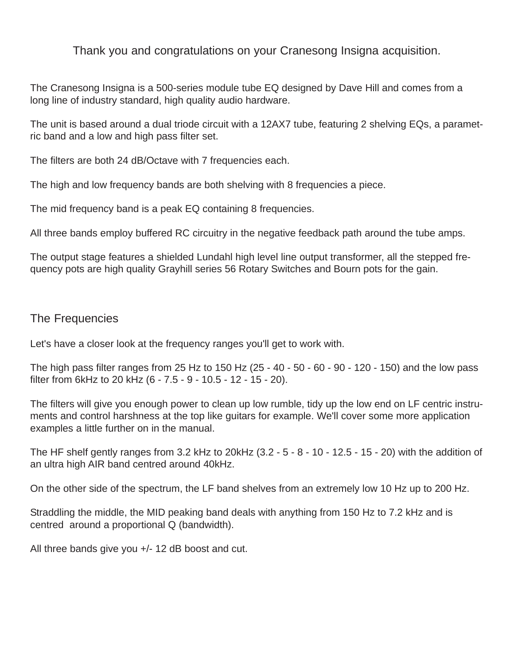## Thank you and congratulations on your Cranesong Insigna acquisition.

The Cranesong Insigna is a 500-series module tube EQ designed by Dave Hill and comes from a long line of industry standard, high quality audio hardware.

The unit is based around a dual triode circuit with a 12AX7 tube, featuring 2 shelving EQs, a parametric band and a low and high pass filter set.

The filters are both 24 dB/Octave with 7 frequencies each.

The high and low frequency bands are both shelving with 8 frequencies a piece.

The mid frequency band is a peak EQ containing 8 frequencies.

All three bands employ buffered RC circuitry in the negative feedback path around the tube amps.

The output stage features a shielded Lundahl high level line output transformer, all the stepped frequency pots are high quality Grayhill series 56 Rotary Switches and Bourn pots for the gain.

#### The Frequencies

Let's have a closer look at the frequency ranges you'll get to work with.

The high pass filter ranges from 25 Hz to 150 Hz (25 - 40 - 50 - 60 - 90 - 120 - 150) and the low pass filter from 6kHz to 20 kHz (6 - 7.5 - 9 - 10.5 - 12 - 15 - 20).

The filters will give you enough power to clean up low rumble, tidy up the low end on LF centric instruments and control harshness at the top like guitars for example. We'll cover some more application examples a little further on in the manual.

The HF shelf gently ranges from 3.2 kHz to 20kHz  $(3.2 - 5 - 8 - 10 - 12.5 - 15 - 20)$  with the addition of an ultra high AIR band centred around 40kHz.

On the other side of the spectrum, the LF band shelves from an extremely low 10 Hz up to 200 Hz.

Straddling the middle, the MID peaking band deals with anything from 150 Hz to 7.2 kHz and is centred around a proportional Q (bandwidth).

All three bands give you +/- 12 dB boost and cut.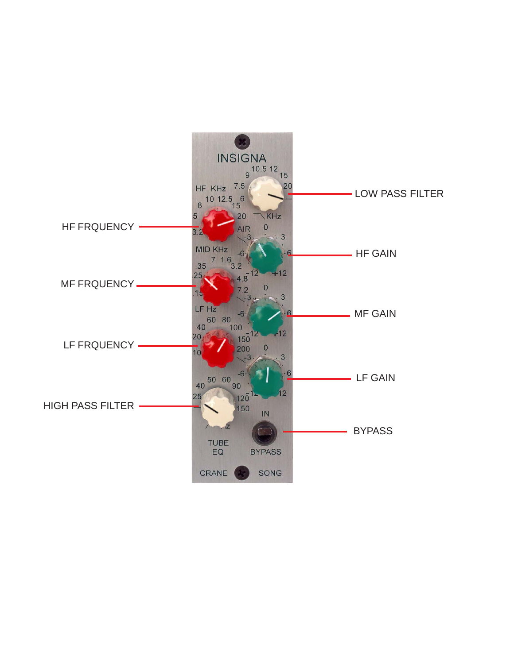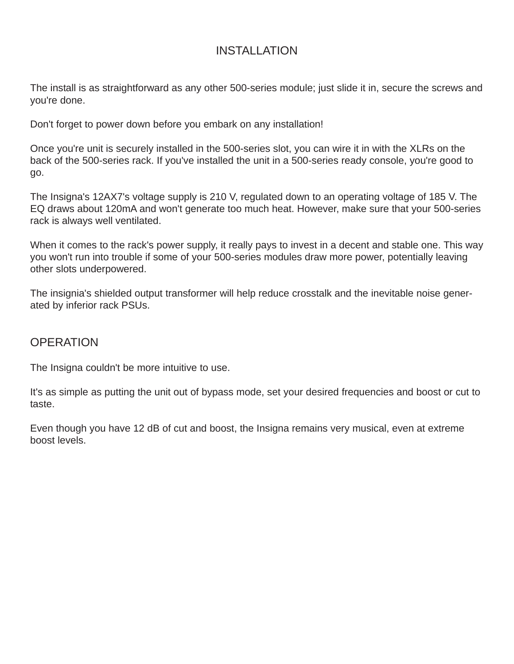# INSTALLATION

The install is as straightforward as any other 500-series module; just slide it in, secure the screws and you're done.

Don't forget to power down before you embark on any installation!

Once you're unit is securely installed in the 500-series slot, you can wire it in with the XLRs on the back of the 500-series rack. If you've installed the unit in a 500-series ready console, you're good to go.

The Insigna's 12AX7's voltage supply is 210 V, regulated down to an operating voltage of 185 V. The EQ draws about 120mA and won't generate too much heat. However, make sure that your 500-series rack is always well ventilated.

When it comes to the rack's power supply, it really pays to invest in a decent and stable one. This way you won't run into trouble if some of your 500-series modules draw more power, potentially leaving other slots underpowered.

The insignia's shielded output transformer will help reduce crosstalk and the inevitable noise generated by inferior rack PSUs.

# **OPERATION**

The Insigna couldn't be more intuitive to use.

It's as simple as putting the unit out of bypass mode, set your desired frequencies and boost or cut to taste.

Even though you have 12 dB of cut and boost, the Insigna remains very musical, even at extreme boost levels.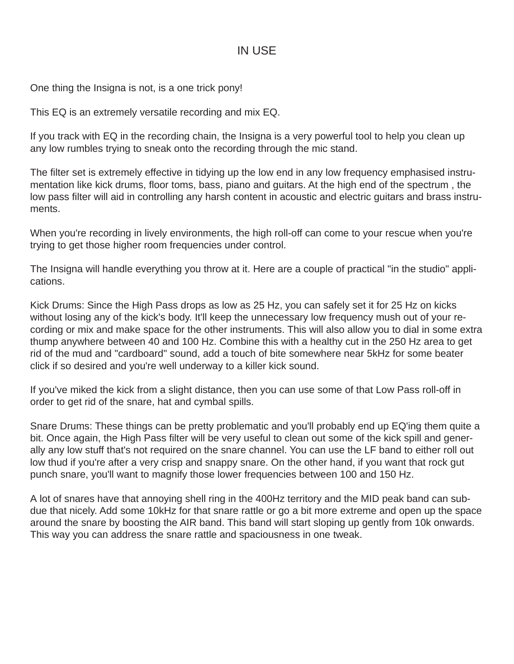### IN USE

One thing the Insigna is not, is a one trick pony!

This EQ is an extremely versatile recording and mix EQ.

If you track with EQ in the recording chain, the Insigna is a very powerful tool to help you clean up any low rumbles trying to sneak onto the recording through the mic stand.

The filter set is extremely effective in tidying up the low end in any low frequency emphasised instrumentation like kick drums, floor toms, bass, piano and guitars. At the high end of the spectrum , the low pass filter will aid in controlling any harsh content in acoustic and electric guitars and brass instruments.

When you're recording in lively environments, the high roll-off can come to your rescue when you're trying to get those higher room frequencies under control.

The Insigna will handle everything you throw at it. Here are a couple of practical "in the studio" applications.

Kick Drums: Since the High Pass drops as low as 25 Hz, you can safely set it for 25 Hz on kicks without losing any of the kick's body. It'll keep the unnecessary low frequency mush out of your recording or mix and make space for the other instruments. This will also allow you to dial in some extra thump anywhere between 40 and 100 Hz. Combine this with a healthy cut in the 250 Hz area to get rid of the mud and "cardboard" sound, add a touch of bite somewhere near 5kHz for some beater click if so desired and you're well underway to a killer kick sound.

If you've miked the kick from a slight distance, then you can use some of that Low Pass roll-off in order to get rid of the snare, hat and cymbal spills.

Snare Drums: These things can be pretty problematic and you'll probably end up EQ'ing them quite a bit. Once again, the High Pass filter will be very useful to clean out some of the kick spill and generally any low stuff that's not required on the snare channel. You can use the LF band to either roll out low thud if you're after a very crisp and snappy snare. On the other hand, if you want that rock gut punch snare, you'll want to magnify those lower frequencies between 100 and 150 Hz.

A lot of snares have that annoying shell ring in the 400Hz territory and the MID peak band can subdue that nicely. Add some 10kHz for that snare rattle or go a bit more extreme and open up the space around the snare by boosting the AIR band. This band will start sloping up gently from 10k onwards. This way you can address the snare rattle and spaciousness in one tweak.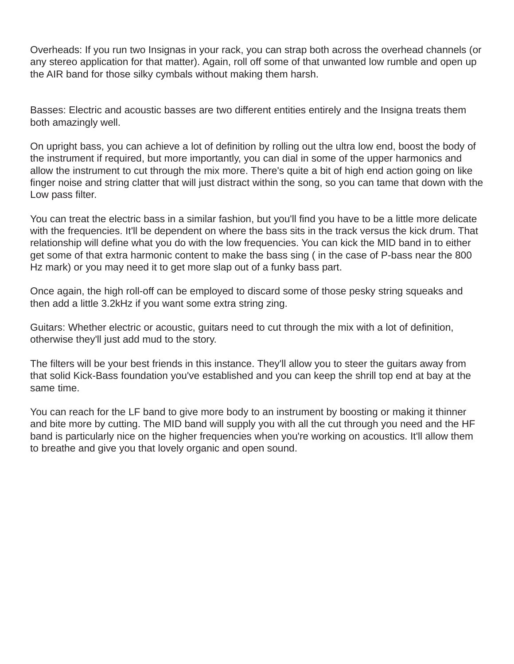Overheads: If you run two Insignas in your rack, you can strap both across the overhead channels (or any stereo application for that matter). Again, roll off some of that unwanted low rumble and open up the AIR band for those silky cymbals without making them harsh.

Basses: Electric and acoustic basses are two different entities entirely and the Insigna treats them both amazingly well.

On upright bass, you can achieve a lot of definition by rolling out the ultra low end, boost the body of the instrument if required, but more importantly, you can dial in some of the upper harmonics and allow the instrument to cut through the mix more. There's quite a bit of high end action going on like finger noise and string clatter that will just distract within the song, so you can tame that down with the Low pass filter.

You can treat the electric bass in a similar fashion, but you'll find you have to be a little more delicate with the frequencies. It'll be dependent on where the bass sits in the track versus the kick drum. That relationship will define what you do with the low frequencies. You can kick the MID band in to either get some of that extra harmonic content to make the bass sing ( in the case of P-bass near the 800 Hz mark) or you may need it to get more slap out of a funky bass part.

Once again, the high roll-off can be employed to discard some of those pesky string squeaks and then add a little 3.2kHz if you want some extra string zing.

Guitars: Whether electric or acoustic, guitars need to cut through the mix with a lot of definition, otherwise they'll just add mud to the story.

The filters will be your best friends in this instance. They'll allow you to steer the guitars away from that solid Kick-Bass foundation you've established and you can keep the shrill top end at bay at the same time.

You can reach for the LF band to give more body to an instrument by boosting or making it thinner and bite more by cutting. The MID band will supply you with all the cut through you need and the HF band is particularly nice on the higher frequencies when you're working on acoustics. It'll allow them to breathe and give you that lovely organic and open sound.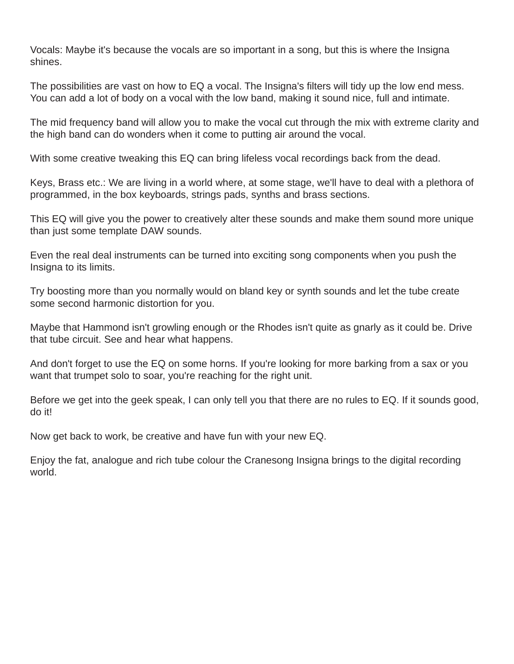Vocals: Maybe it's because the vocals are so important in a song, but this is where the Insigna shines.

The possibilities are vast on how to EQ a vocal. The Insigna's filters will tidy up the low end mess. You can add a lot of body on a vocal with the low band, making it sound nice, full and intimate.

The mid frequency band will allow you to make the vocal cut through the mix with extreme clarity and the high band can do wonders when it come to putting air around the vocal.

With some creative tweaking this EQ can bring lifeless vocal recordings back from the dead.

Keys, Brass etc.: We are living in a world where, at some stage, we'll have to deal with a plethora of programmed, in the box keyboards, strings pads, synths and brass sections.

This EQ will give you the power to creatively alter these sounds and make them sound more unique than just some template DAW sounds.

Even the real deal instruments can be turned into exciting song components when you push the Insigna to its limits.

Try boosting more than you normally would on bland key or synth sounds and let the tube create some second harmonic distortion for you.

Maybe that Hammond isn't growling enough or the Rhodes isn't quite as gnarly as it could be. Drive that tube circuit. See and hear what happens.

And don't forget to use the EQ on some horns. If you're looking for more barking from a sax or you want that trumpet solo to soar, you're reaching for the right unit.

Before we get into the geek speak, I can only tell you that there are no rules to EQ. If it sounds good, do it!

Now get back to work, be creative and have fun with your new EQ.

Enjoy the fat, analogue and rich tube colour the Cranesong Insigna brings to the digital recording world.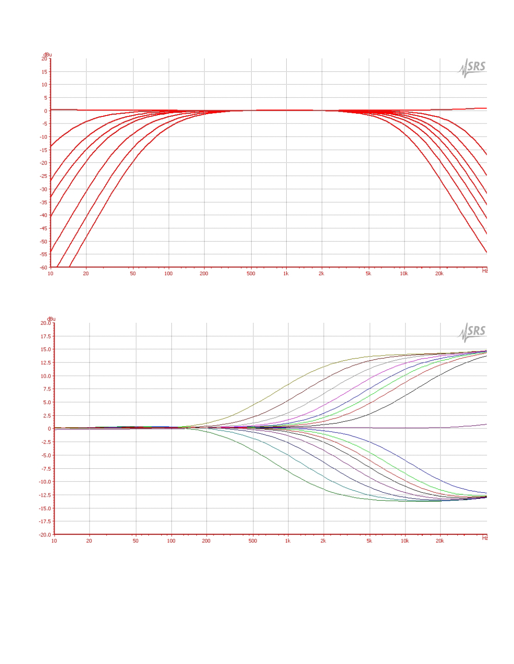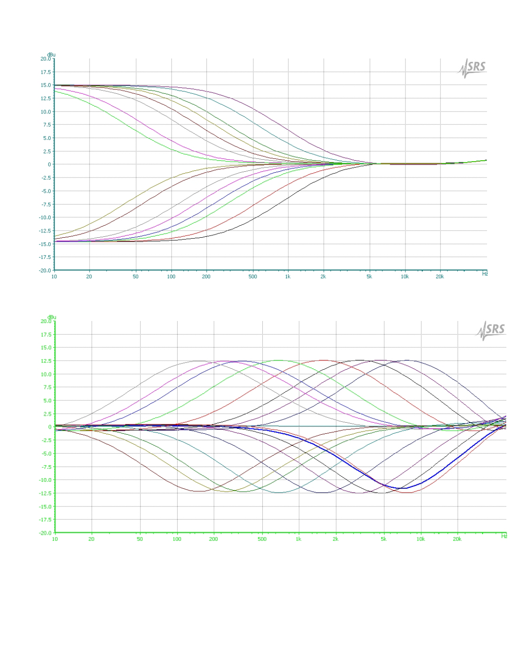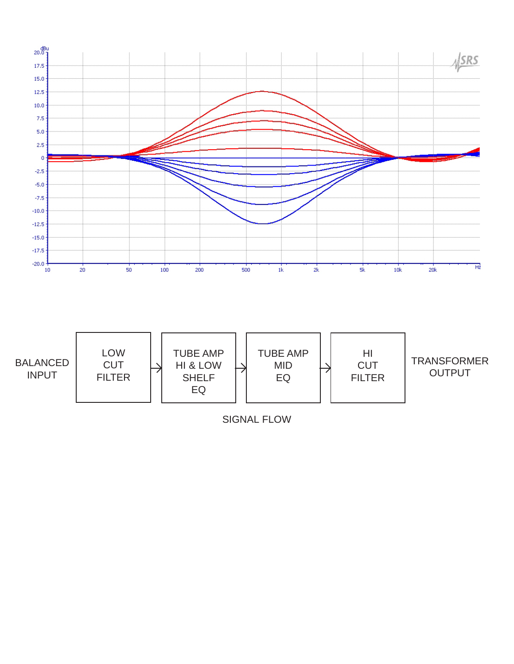



SIGNAL FLOW